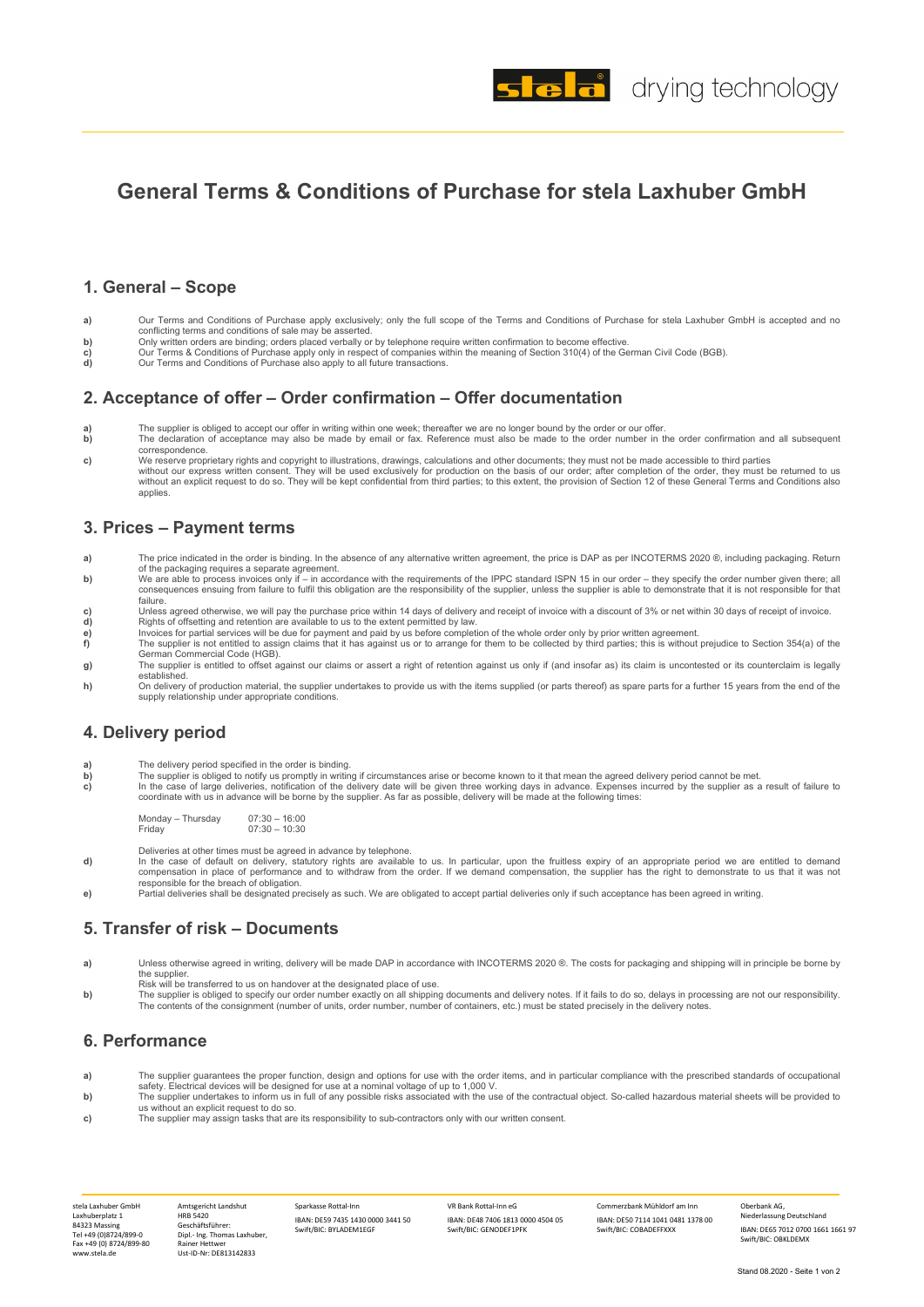

# **General Terms & Conditions of Purchase for stela Laxhuber GmbH**

#### **1. General – Scope**

- **a)** Our Terms and Conditions of Purchase apply exclusively; only the full scope of the Terms and Conditions of Purchase for stela Laxhuber GmbH is accepted and no conflicting terms and conditions of sale may be asserted.
- 
- **b)** Only written orders are binding; orders placed verbally or by telephone require written confirmation to become effective.<br>C) Our Terms & Conditions of Purchase apply only in respect of companies within the meaning of
- **d)** Our Terms and Conditions of Purchase also apply to all future transactions.

### **2. Acceptance of offer – Order confirmation – Offer documentation**

- **a)** The supplier is obliged to accept our offer in writing within one week; thereafter we are no longer bound by the order or our offer.<br>**b)** The declaration of acceptance may also be made by email or fax. Reference must
- correspondence.
- **c)** We reserve proprietary rights and copyright to illustrations, drawings, calculations and other documents; they must not be made accessible to third parties without our express written consent. They will be used exclusively for production on the basis of our order; after completion of the order, they must be returned to us without an explicit request to do so. They will be kept confidential from third parties; to this extent, the provision of Section 12 of these General Terms and Conditions also applies

## **3. Prices – Payment terms**

- **a)** The price indicated in the order is binding. In the absence of any alternative written agreement, the price is DAP as per INCOTERMS 2020 ®, including packaging. Return
- of the packaging requires a separate agreement.<br>**b)** We are able to process invoices only if in accordance with the requirements of the IPPC standard ISPN 15 in our order they specify the order number given there; all consequences ensuing from failure to fulfil this obligation are the responsibility of the supplier, unless the supplier is able to demonstrate that it is not responsible for that failure.
- **c)** Unless agreed otherwise, we will pay the purchase price within 14 days of delivery and receipt of invoice with a discount of 3% or net within 30 days of receipt of invoice.<br> **d)** Rights of offsetting and retention are **d)** Rights of offsetting and retention are available to us to the extent permitted by law.<br> **e)** Invoices for partial services will be due for payment and paid by us before completing
- **e)** Invoices for partial services will be due for payment and paid by us before completion of the whole order only by prior written agreement<br> **f)** The supplier is not entitled to assign claims that it has against us or t
- **f)** The supplier is not entitled to assign claims that it has against us or to arrange for them to be collected by third parties; this is without prejudice to Section 354(a) of the<br>German Commercial Code (HGB).
- **g)** The supplier is entitled to offset against our claims or assert a right of retention against us only if (and insofar as) its claim is uncontested or its counterclaim is legally<br>established.
- **h)** On delivery of production material, the supplier undertakes to provide us with the items supplied (or parts thereof) as spare parts for a further 15 years from the end of the supply relationship under appropriate conditions.

# **4. Delivery period**

- 
- **a)** The delivery period specified in the order is binding.<br>**b)** The supplier is obliged to notify us promptly in writing if circumstances arise or become known to it that mean the agreed delivery period cannot be met.
- **c)** h the case of large deliveries, notification of the delivery date will be given three working days in advance. Expenses incurred by the supplier as a result of failure to coordinate with us in advance will be borne by

Monday – Thursday 07:30 – 16:00<br>Friday 07:30 – 10:30  $F_{07}:30 - 10:30$ 

- Deliveries at other times must be agreed in advance by telephone.
- **d)** In the case of default on delivery, statutory rights are available to us. In particular, upon the fruitless expiry of an appropriate period we are entitled to demand<br>compensation in place of performance and to withdra responsible for the breach of obligation.
- **e)** Partial deliveries shall be designated precisely as such. We are obligated to accept partial deliveries only if such acceptance has been agreed in writing.

#### **5. Transfer of risk – Documents**

- **a)** Unless otherwise agreed in writing, delivery will be made DAP in accordance with INCOTERMS 2020 ®. The costs for packaging and shipping will in principle be borne by the supplier.
- Risk will be transferred to us on handover at the designated place of use.
- **b)** The supplier is obliged to specify our order number exactly on all shipping documents and delivery notes. If it fails to do so, delays in processing are not our responsibility The contents of the consignment (number of units, order number, number of containers, etc.) must be stated precisely in the delivery notes.

#### **6. Performance**

- **a)** The supplier guarantees the proper function, design and options for use with the order items, and in particular compliance with the prescribed standards of occupational safety. Electrical devices will be designed for use at a nominal voltage of up to 1,000 V.
- **b**) The supplier undertakes to inform us in full of any possible risks associated with the use of the contractual object. So-called hazardous material sheets will be provided to us without an explicit request to do so.
- **c)** The supplier may assign tasks that are its responsibility to sub-contractors only with our written consent.

stela Laxhuber GmbH Laxhuberplatz 1 84323 Massing Tel +49 (0)8724/899-0 Fax +49 (0) 8724/899-80 www.stela.de

Amtsgericht Landshut HRB 5420 Geschäftsführer: Dipl.- Ing. Thomas Laxhuber, Rainer Hettwer Ust-ID-Nr: DE813142833

Sparkasse Rottal-Inn IBAN: DE59 7435 1430 0000 3441 50 Swift/BIC: BYLADEM1EGF

VR Bank Rottal-Inn eG IBAN: DE48 7406 1813 0000 4504 05 Swift/BIC: GENODEF1PFK

Commerzbank Mühldorf am Inn IBAN: DE50 7114 1041 0481 1378 00 Swift/BIC: COBADEFFXXX

Oberbank AG, Niederlassung Deutschland IBAN: DE65 7012 0700 1661 1661 97 Swift/BIC: OBKLDEMX